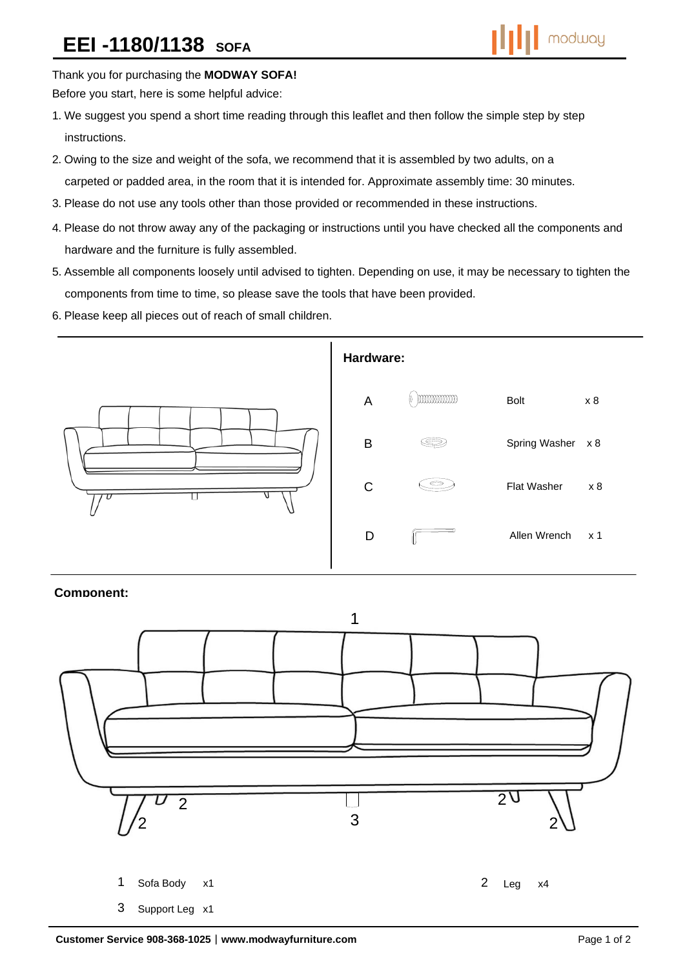Thank you for purchasing the **MODWAY SOFA!** 

Before you start, here is some helpful advice:

- 1.We suggest you spend a short time reading through this leaflet and then follow the simple step by step instructions.
- 2.Owing to the size and weight of the sofa, we recommend that it is assembled by two adults, on a carpeted or padded area, in the room that it is intended for. Approximate assembly time: 30 minutes.
- 3.Please do not use any tools other than those provided or recommended in these instructions.
- 4.Please do not throw away any of the packaging or instructions until you have checked all the components and hardware and the furniture is fully assembled.
- 5.Assemble all components loosely until advised to tighten. Depending on use, it may be necessary to tighten the components from time to time, so please save the tools that have been provided.
- 6.Please keep all pieces out of reach of small children.



## **Component:**